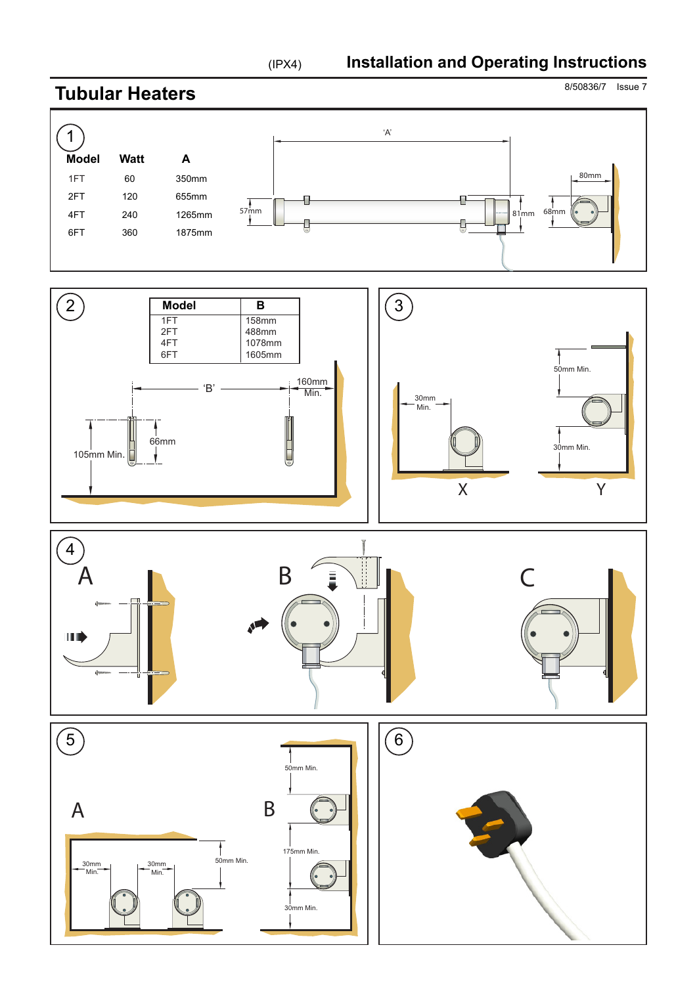